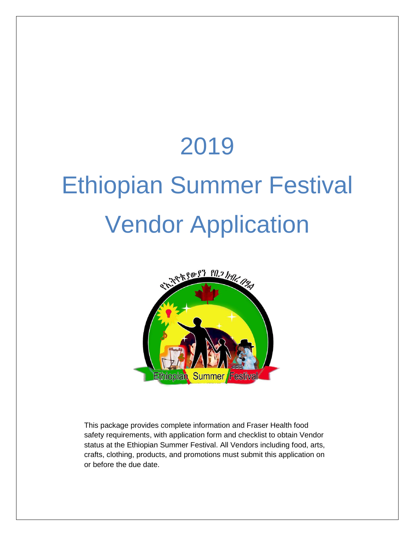## 2019

# Ethiopian Summer Festival Vendor Application



This package provides complete information and Fraser Health food safety requirements, with application form and checklist to obtain Vendor status at the Ethiopian Summer Festival. All Vendors including food, arts, crafts, clothing, products, and promotions must submit this application on or before the due date.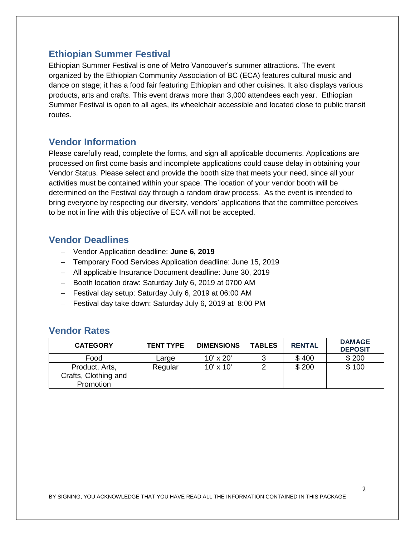## **Ethiopian Summer Festival**

Ethiopian Summer Festival is one of Metro Vancouver's summer attractions. The event organized by the Ethiopian Community Association of BC (ECA) features cultural music and dance on stage; it has a food fair featuring Ethiopian and other cuisines. It also displays various products, arts and crafts. This event draws more than 3,000 attendees each year. Ethiopian Summer Festival is open to all ages, its wheelchair accessible and located close to public transit routes.

## **Vendor Information**

Please carefully read, complete the forms, and sign all applicable documents. Applications are processed on first come basis and incomplete applications could cause delay in obtaining your Vendor Status. Please select and provide the booth size that meets your need, since all your activities must be contained within your space. The location of your vendor booth will be determined on the Festival day through a random draw process. As the event is intended to bring everyone by respecting our diversity, vendors' applications that the committee perceives to be not in line with this objective of ECA will not be accepted.

## **Vendor Deadlines**

- Vendor Application deadline: **June 6, 2019**
- Temporary Food Services Application deadline: June 15, 2019
- All applicable Insurance Document deadline: June 30, 2019
- Booth location draw: Saturday July 6, 2019 at 0700 AM
- Festival day setup: Saturday July 6, 2019 at 06:00 AM
- Festival day take down: Saturday July 6, 2019 at 8:00 PM

## **Vendor Rates**

| <b>CATEGORY</b>      | <b>TENT TYPE</b> | <b>DIMENSIONS</b> | <b>TABLES</b> | <b>RENTAL</b> | <b>DAMAGE</b><br><b>DEPOSIT</b> |
|----------------------|------------------|-------------------|---------------|---------------|---------------------------------|
| Food                 | Large            | 10' x 20'         |               | \$400         | \$200                           |
| Product, Arts,       | Regular          | $10' \times 10'$  |               | \$200         | \$100                           |
| Crafts, Clothing and |                  |                   |               |               |                                 |
| Promotion            |                  |                   |               |               |                                 |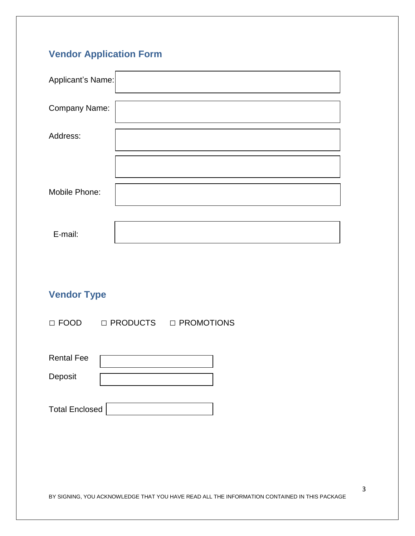## **Vendor Application Form**

| Applicant's Name: |  |
|-------------------|--|
| Company Name:     |  |
| Address:          |  |
|                   |  |
| Mobile Phone:     |  |
|                   |  |
| E-mail:           |  |

## **Vendor Type**

□ FOOD □ PRODUCTS □ PROMOTIONS

| <b>Rental Fee</b> |  |
|-------------------|--|
| Deposit           |  |
|                   |  |

| <b>Total Enclosed</b> |  |
|-----------------------|--|
|                       |  |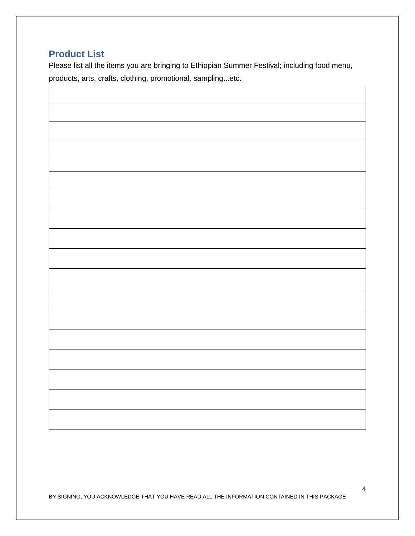## **Product List**

Please list all the items you are bringing to Ethiopian Summer Festival; including food menu, products, arts, crafts, clothing, promotional, sampling...etc.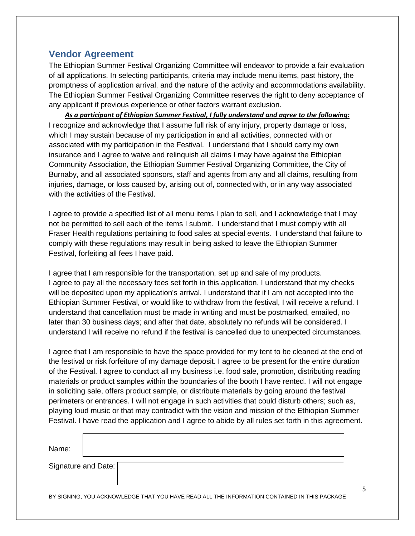## **Vendor Agreement**

The Ethiopian Summer Festival Organizing Committee will endeavor to provide a fair evaluation of all applications. In selecting participants, criteria may include menu items, past history, the promptness of application arrival, and the nature of the activity and accommodations availability. The Ethiopian Summer Festival Organizing Committee reserves the right to deny acceptance of any applicant if previous experience or other factors warrant exclusion.

*As a participant of Ethiopian Summer Festival, I fully understand and agree to the following:* I recognize and acknowledge that I assume full risk of any injury, property damage or loss, which I may sustain because of my participation in and all activities, connected with or associated with my participation in the Festival. I understand that I should carry my own insurance and I agree to waive and relinquish all claims I may have against the Ethiopian Community Association, the Ethiopian Summer Festival Organizing Committee, the City of Burnaby, and all associated sponsors, staff and agents from any and all claims, resulting from injuries, damage, or loss caused by, arising out of, connected with, or in any way associated with the activities of the Festival.

I agree to provide a specified list of all menu items I plan to sell, and I acknowledge that I may not be permitted to sell each of the items I submit. I understand that I must comply with all Fraser Health regulations pertaining to food sales at special events. I understand that failure to comply with these regulations may result in being asked to leave the Ethiopian Summer Festival, forfeiting all fees I have paid.

I agree that I am responsible for the transportation, set up and sale of my products. I agree to pay all the necessary fees set forth in this application. I understand that my checks will be deposited upon my application's arrival. I understand that if I am not accepted into the Ethiopian Summer Festival, or would like to withdraw from the festival, I will receive a refund. I understand that cancellation must be made in writing and must be postmarked, emailed, no later than 30 business days; and after that date, absolutely no refunds will be considered. I understand I will receive no refund if the festival is cancelled due to unexpected circumstances.

I agree that I am responsible to have the space provided for my tent to be cleaned at the end of the festival or risk forfeiture of my damage deposit. I agree to be present for the entire duration of the Festival. I agree to conduct all my business i.e. food sale, promotion, distributing reading materials or product samples within the boundaries of the booth I have rented. I will not engage in soliciting sale, offers product sample, or distribute materials by going around the festival perimeters or entrances. I will not engage in such activities that could disturb others; such as, playing loud music or that may contradict with the vision and mission of the Ethiopian Summer Festival. I have read the application and I agree to abide by all rules set forth in this agreement.

| Name:                 |  |  |
|-----------------------|--|--|
| Signature and Date: [ |  |  |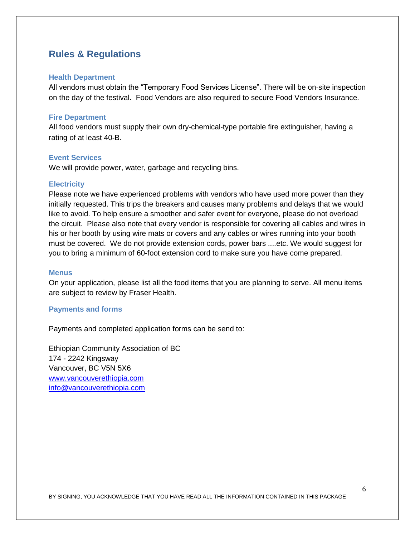## **Rules & Regulations**

#### **Health Department**

All vendors must obtain the "Temporary Food Services License". There will be on‐site inspection on the day of the festival. Food Vendors are also required to secure Food Vendors Insurance.

#### **Fire Department**

All food vendors must supply their own dry‐chemical‐type portable fire extinguisher, having a rating of at least 40‐B.

#### **Event Services**

We will provide power, water, garbage and recycling bins.

#### **Electricity**

Please note we have experienced problems with vendors who have used more power than they initially requested. This trips the breakers and causes many problems and delays that we would like to avoid. To help ensure a smoother and safer event for everyone, please do not overload the circuit. Please also note that every vendor is responsible for covering all cables and wires in his or her booth by using wire mats or covers and any cables or wires running into your booth must be covered. We do not provide extension cords, power bars ....etc. We would suggest for you to bring a minimum of 60-foot extension cord to make sure you have come prepared.

#### **Menus**

On your application, please list all the food items that you are planning to serve. All menu items are subject to review by Fraser Health.

#### **Payments and forms**

Payments and completed application forms can be send to:

Ethiopian Community Association of BC 174 - 2242 Kingsway Vancouver, BC V5N 5X6 [www.vancouverethiopia.com](http://www.vancouverethiopia.com/) [info@vancouverethiopia.com](mailto:info@vancouverethiopia.com)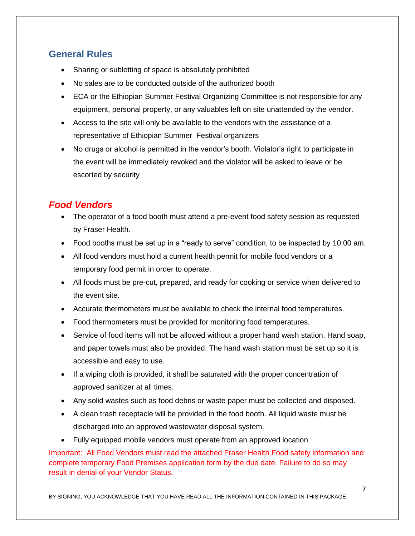## **General Rules**

- Sharing or subletting of space is absolutely prohibited
- No sales are to be conducted outside of the authorized booth
- ECA or the Ethiopian Summer Festival Organizing Committee is not responsible for any equipment, personal property, or any valuables left on site unattended by the vendor.
- Access to the site will only be available to the vendors with the assistance of a representative of Ethiopian Summer Festival organizers
- No drugs or alcohol is permitted in the vendor's booth. Violator's right to participate in the event will be immediately revoked and the violator will be asked to leave or be escorted by security

## *Food Vendors*

- The operator of a food booth must attend a pre-event food safety session as requested by Fraser Health.
- Food booths must be set up in a "ready to serve" condition, to be inspected by 10:00 am.
- All food vendors must hold a current health permit for mobile food vendors or a temporary food permit in order to operate.
- All foods must be pre-cut, prepared, and ready for cooking or service when delivered to the event site.
- Accurate thermometers must be available to check the internal food temperatures.
- Food thermometers must be provided for monitoring food temperatures.
- Service of food items will not be allowed without a proper hand wash station. Hand soap, and paper towels must also be provided. The hand wash station must be set up so it is accessible and easy to use.
- If a wiping cloth is provided, it shall be saturated with the proper concentration of approved sanitizer at all times.
- Any solid wastes such as food debris or waste paper must be collected and disposed.
- A clean trash receptacle will be provided in the food booth. All liquid waste must be discharged into an approved wastewater disposal system.
- Fully equipped mobile vendors must operate from an approved location

Important: All Food Vendors must read the attached Fraser Health Food safety information and complete temporary Food Premises application form by the due date. Failure to do so may result in denial of your Vendor Status.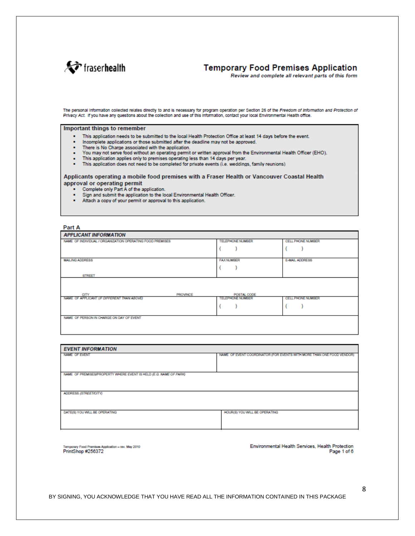

### **Temporary Food Premises Application**

Review and complete all relevant parts of this form

The personal information collected relates directly to and is necessary for program operation per Section 26 of the Freedom of Information and Protection of<br>Privacy Act. If you have any questions about the collection and u

#### Important things to remember

- This application needs to be submitted to the local Health Protection Office at least 14 days before the event.
- Incomplete applications or those submitted after the deadline may not be approved.
- There is No Charge associated with the application.  $\bullet$  .
- You may not serve food without an operating permit or written approval from the Environmental Health Officer (EHO).  $\mathbf{r}$
- This application applies only to premises operating less than 14 days per year. н.
- $\mathbf{r}$ This application does not need to be completed for private events (i.e. weddings, family reunions)

#### Applicants operating a mobile food premises with a Fraser Health or Vancouver Coastal Health approval or operating permit

- Complete only Part A of the application.
- Sign and submit the application to the local Environmental Health Officer.
- Attach a copy of your permit or approval to this application.

#### Part A

| <b>APPLICANT INFORMATION</b>                              |                         |                   |
|-----------------------------------------------------------|-------------------------|-------------------|
| NAME OF INDIVIDUAL / ORGANIZATION OPERATING FOOD PREMISES | <b>TELEPHONE NUMBER</b> | CELL PHONE NUMBER |
|                                                           |                         |                   |
| <b>MAILING ADDRESS</b>                                    | <b>FAX NUMBER</b>       | E-MAIL ADDRESS    |
|                                                           |                         |                   |
| <b>STREET</b>                                             |                         |                   |
| CITY<br><b>PROVINCE</b>                                   | POSTAL CODE             |                   |
| NAME OF APPLICANT (IF DIFFERENT THAN ABOVE)               | <b>TELEPHONE NUMBER</b> | CELL PHONE NUMBER |
|                                                           |                         |                   |
| NAME OF PERSON IN CHARGE ON DAY OF EVENT                  |                         |                   |

| <b>EVENT INFORMATION</b>                                          |                                                                       |  |  |
|-------------------------------------------------------------------|-----------------------------------------------------------------------|--|--|
| <b>NAME OF EVENT</b>                                              | NAME OF EVENT COORDINATOR (FOR EVENTS WITH MORE THAN ONE FOOD VENDOR) |  |  |
|                                                                   |                                                                       |  |  |
| NAME OF PREMISES/PROPERTY WHERE EVENT IS HELD (E.G. NAME OF PARK) |                                                                       |  |  |
|                                                                   |                                                                       |  |  |
|                                                                   |                                                                       |  |  |
| ADDRESS (STREET/CITY)                                             |                                                                       |  |  |
|                                                                   |                                                                       |  |  |
|                                                                   |                                                                       |  |  |
| DATE(S) YOU WILL BE OPERATING                                     | HOUR(S) YOU WILL BE OPERATING                                         |  |  |
|                                                                   |                                                                       |  |  |
|                                                                   |                                                                       |  |  |

ary Food Premises Application - rev. May 2010 PrintShop #256372

Environmental Health Services, Health Protection Page 1 of 6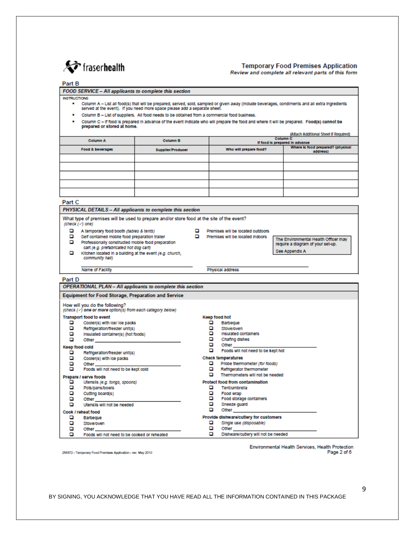

#### **Temporary Food Premises Application**

Review and complete all relevant parts of this form

#### Part B

FOOD SERVICE - All applicants to complete this section

#### **INSTRUCTIONS**

Column A - List all food(s) that will be prepared, served, sold, sampled or given away (include beverages, condiments and all extra ingredients served at the event). If you need more space please add a separate shee

- . Column B List of suppliers. All food needs to be obtained from a commercial food business.
- Column C if food is prepared in advance of the event indicate who will prepare the food and where it will be prepared. Food(s) cannot be prepared or stored at home.

|                  |                          |                                | (Atlach Additional Sheet If Required)         |
|------------------|--------------------------|--------------------------------|-----------------------------------------------|
| <b>Column A</b>  | <b>Column B</b>          | If food is prepared in advance | Column C                                      |
| Food & beverages | <b>Supplier/Producer</b> | Who will prepare food?         | Where is food prepared? (physical<br>address) |
|                  |                          |                                |                                               |
|                  |                          |                                |                                               |
|                  |                          |                                |                                               |
|                  |                          |                                |                                               |
|                  |                          |                                |                                               |

#### Part C

#### PHYSICAL DETAILS - All applicants to complete this section

What type of premises will be used to prepare and/or store food at the site of the event? (check (-) one)

 $\Box$  A temporary food booth (tables & tents)

Name of Facility

- o Self contained mobile food preparation trailer
- $\Box$  Professionally constructed mobile food preparation
	-

cart (e.g. prefabricated hot dog cart)

Premises will be located outdoors

Physical address

Premises will be located indoors

The Environmental Health Officer may require a diagram of your set-up. See Appendix A

o Kitchen located in a building at the event (e.g. church, community hall)

| Part D                             |                                                                                                                                                                           |             |                                                                                                                                                                                                                                                                                                                                                                                                                          |
|------------------------------------|---------------------------------------------------------------------------------------------------------------------------------------------------------------------------|-------------|--------------------------------------------------------------------------------------------------------------------------------------------------------------------------------------------------------------------------------------------------------------------------------------------------------------------------------------------------------------------------------------------------------------------------|
|                                    | OPERATIONAL PLAN - All applicants to complete this section                                                                                                                |             |                                                                                                                                                                                                                                                                                                                                                                                                                          |
|                                    | <b>Equipment for Food Storage, Preparation and Service</b>                                                                                                                |             |                                                                                                                                                                                                                                                                                                                                                                                                                          |
|                                    | How will you do the following?<br>(check (<) one or more option(s) from each category below)                                                                              |             |                                                                                                                                                                                                                                                                                                                                                                                                                          |
| o.<br>o                            | <b>Transport food to event</b><br>Cooler(s) with loa/ loe packs<br>Refrigeration/freezer unit(s)                                                                          | n           | Keep food hot<br>Barbegue<br>Stove/oven                                                                                                                                                                                                                                                                                                                                                                                  |
| о<br>o                             | Insulated container(s) (hot foods)<br>Other and the contract of the contract of                                                                                           | o<br>o      | Insulated containers<br>Chafing dishes<br><b>Other Contracts</b>                                                                                                                                                                                                                                                                                                                                                         |
| Keep food cold<br>o<br>o<br>o<br>o | Refrigeration/freezer unit(s)<br>Cooler(s) with loe packs                                                                                                                 | o           | Foods will not need to be kept hot<br><b>Check temperatures</b><br>Probe thermometer (for foods)<br>$\Box$ Refrigerator thermometer                                                                                                                                                                                                                                                                                      |
| o<br>o<br>о<br>о<br>o              | Prepare / serve foods<br>Utensils (e.g. tongs, spoons)<br>Pots/pans/bowls<br>Cutting board(s)<br>Other and the contract of the contract of<br>Utensils will not be needed | n<br>ם<br>o | Thermometers will not be needed<br>Protect food from contamination<br>Tent/umbrella<br>Food wrap<br>Food storage containers<br>Sneeze quard                                                                                                                                                                                                                                                                              |
| o<br>o<br>о                        | Cook / reheat food<br>Barbegue<br><b>Stove/oven</b><br>Other and the contract of the contract of the contract of the contract of the contract of the contract of the      | ▭<br>o      | Other and the contract of the contract of the contract of the contract of the contract of the contract of the<br>Provide dishware/cutlery for customers<br>Single use (disposable)<br><b>Other Contract Contract Contract Contract Contract Contract Contract Contract Contract Contract Contract Contract Contract Contract Contract Contract Contract Contract Contract Contract Contract Contract Contract Contra</b> |
| o                                  | Foods will not need to be cooked or reheated                                                                                                                              | o           | Dishware/cuttery will not be needed                                                                                                                                                                                                                                                                                                                                                                                      |

256372 - Temporary Food Premises Application - rev. May 2010

Environmental Health Services, Health Protection Page 2 of 6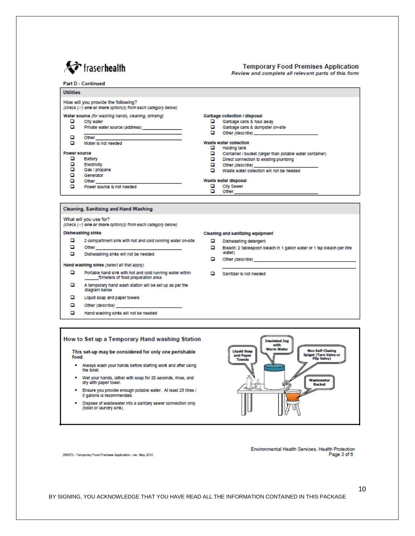

#### **Temporary Food Premises Application** Review and complete all relevant parts of this form

#### **Part D - Continued**

| <b>Utilities</b> |                                                                                                             |                      |                                                                                                                                                                                                                                                                                                                                |
|------------------|-------------------------------------------------------------------------------------------------------------|----------------------|--------------------------------------------------------------------------------------------------------------------------------------------------------------------------------------------------------------------------------------------------------------------------------------------------------------------------------|
|                  | How will you provide the following?<br>(check (-/) one or more option(s) from each category below)          |                      |                                                                                                                                                                                                                                                                                                                                |
| o<br>o           | Water source (for washing hands, cleaning, drinking)<br><b>City water</b><br>Private water source (address) | o<br>o<br>o          | Garbage collection / disposal<br>Garbage cans & haul away<br>Garbage cans & dumpster on-site<br>Other (describe) and a control of the control of the control of the control of the control of the control of the control of the control of the control of the control of the control of the control of the control of the cont |
| o<br>o           | Other<br>Water is not needed                                                                                | o                    | Waste water collection<br><b>Holding tank</b>                                                                                                                                                                                                                                                                                  |
| Power source     |                                                                                                             | o                    | Container / bucket (larger than potable water container)                                                                                                                                                                                                                                                                       |
|                  | Battery                                                                                                     | o                    | Direct connection to existing plumbing                                                                                                                                                                                                                                                                                         |
|                  | Electricity                                                                                                 | o                    | Other (describe)                                                                                                                                                                                                                                                                                                               |
| o<br>o           | Gas / propane<br>Generator                                                                                  | o                    | Waste water collection will not be needed                                                                                                                                                                                                                                                                                      |
| o                | Other                                                                                                       | Waste water disposal |                                                                                                                                                                                                                                                                                                                                |
| o                | Power source is not needed                                                                                  | o<br>o               | <b>City Sewer</b><br>Other                                                                                                                                                                                                                                                                                                     |
|                  |                                                                                                             |                      |                                                                                                                                                                                                                                                                                                                                |

#### **Cleaning, Sanitizing and Hand Washing**

#### What will you use for?

(check (-) one or more option(s) from each category below)

#### **Dishwashing sinks**

- $\Box$ 2 compartment sink with hot and cold running water on-site  $\Box$ Other
- $\Box$ Dishwashing sinks will not be needed

#### Hand washing sinks (select all that apply)

- $\Box$ Portable hand sink with hot and cold running water within<br>filmeters of food preparation area
- o A temporary hand wash station will be set up as per the diagram below
- o Liquid soap and paper towels
- o Other (describe)
- o Hand washing sinks will not be needed

#### How to Set up a Temporary Hand washing Station

This set-up may be considered for only one perishable food.

- . Always wash your hands before starting work and after using the tollet.
- . Wet your hands, lather with soap for 20 seconds, rinse, and dry with paper towel.
- . Ensure you provide enough potable water. At least 25 litres / 5 gallons is recommended.
- . Dispose of wastewater into a sanitary sewer connection only (tollet or laundry sink).



Environmental Health Services, Health Protection Page 3 of 6

256372 - Temporary Food Premises Application - rev. May 2010

- Cleaning and sanitizing equipment
	- Dishwashing detergent
	- $\Box$ Bleach: 2 tablespoon bleach in 1 gallon water or 1 tsp bleach per litre water)
	- $\Box$ Other (describe)
	- $\Box$  Sanitizer is not needed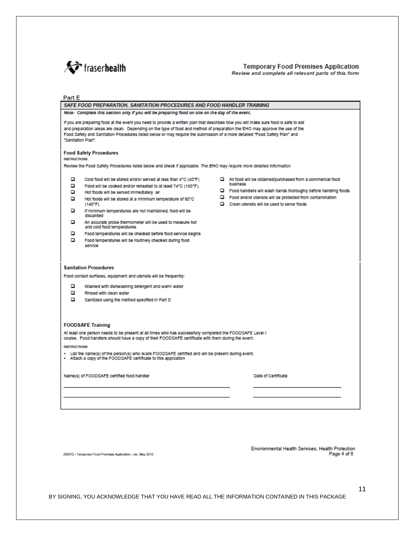

#### **Temporary Food Premises Application** Review and complete all relevant parts of this form

#### Part E

|                                                                                                                                                                                                                                                                                                                                                                                                                                             | SAFE FOOD PREPARATION. SANITATION PROCEDURES AND FOOD HANDLER TRAINING                                                                                                                                                                                                                                                                                                                                                                                                                                                                                                                                                                                                                                                                                                                                                                              |  |  |  |
|---------------------------------------------------------------------------------------------------------------------------------------------------------------------------------------------------------------------------------------------------------------------------------------------------------------------------------------------------------------------------------------------------------------------------------------------|-----------------------------------------------------------------------------------------------------------------------------------------------------------------------------------------------------------------------------------------------------------------------------------------------------------------------------------------------------------------------------------------------------------------------------------------------------------------------------------------------------------------------------------------------------------------------------------------------------------------------------------------------------------------------------------------------------------------------------------------------------------------------------------------------------------------------------------------------------|--|--|--|
|                                                                                                                                                                                                                                                                                                                                                                                                                                             | Note: Complete this section only if you will be preparing food on site on the day of the event.                                                                                                                                                                                                                                                                                                                                                                                                                                                                                                                                                                                                                                                                                                                                                     |  |  |  |
| If you are preparing food at the event you need to provide a written plan that describes how you will make sure food is safe to eat<br>and preparation areas are clean. Depending on the type of food and method of preparation the EHO may approve the use of the<br>Food Safety and Sanitation Procedures listed below or may require the submission of a more detailed "Food Safety Plan" and<br>"Sanitation Plan".                      |                                                                                                                                                                                                                                                                                                                                                                                                                                                                                                                                                                                                                                                                                                                                                                                                                                                     |  |  |  |
| <b>INSTRUCTIONS</b>                                                                                                                                                                                                                                                                                                                                                                                                                         | <b>Food Safety Procedures</b>                                                                                                                                                                                                                                                                                                                                                                                                                                                                                                                                                                                                                                                                                                                                                                                                                       |  |  |  |
|                                                                                                                                                                                                                                                                                                                                                                                                                                             | Review the Food Safety Procedures listed below and check if applicable. The EHO may require more detailed information                                                                                                                                                                                                                                                                                                                                                                                                                                                                                                                                                                                                                                                                                                                               |  |  |  |
| o<br>о<br>o<br>o<br>o<br>o<br>o<br>o                                                                                                                                                                                                                                                                                                                                                                                                        | Cold food will be stored and/or served at less than 4"C (40"F)<br>$\Box$ All food will be obtained/purchased from a commercial food<br>business<br>Food will be cooked and/or reheated to at least 74°C (165°F).<br>$\Box$ Food handlers will wash hands thoroughly before handling foods<br>Hot foods will be served immediately or<br>$\Box$ Food and/or utensils will be protected from contamination<br>Hot foods will be stored at a minimum temperature of 60°C<br>$\Box$ Clean utensils will be used to serve foods<br>$(140"F)$ .<br>If minimum temperatures are not maintained, food will be<br>discarded<br>An accurate probe thermometer will be used to measure hot<br>and cold food temperatures<br>Food temperatures will be checked before food service begins<br>Food temperatures will be routinely checked during food<br>service |  |  |  |
|                                                                                                                                                                                                                                                                                                                                                                                                                                             | <b>Sanitation Procedures</b><br>Food contact surfaces, equipment and utensils will be frequently:                                                                                                                                                                                                                                                                                                                                                                                                                                                                                                                                                                                                                                                                                                                                                   |  |  |  |
| o<br>Washed with dishwashing detergent and warm water<br>o<br>Rinsed with clean water<br>o<br>Sanitzed using the method specified in Part D                                                                                                                                                                                                                                                                                                 |                                                                                                                                                                                                                                                                                                                                                                                                                                                                                                                                                                                                                                                                                                                                                                                                                                                     |  |  |  |
| <b>FOODSAFE Training</b><br>At least one person needs to be present at all times who has successfully completed the FOODSAFE Level I<br>course. Food handlers should have a copy of their FOODSAFE certificate with them during the event.<br><b>INSTRUCTIONS</b><br>- List the name(s) of the person(s) who is/are FOODSAFE certified and will be present during event.<br>- Attach a copy of the FOODSAFE certificate to this application |                                                                                                                                                                                                                                                                                                                                                                                                                                                                                                                                                                                                                                                                                                                                                                                                                                                     |  |  |  |
|                                                                                                                                                                                                                                                                                                                                                                                                                                             | Date of Certificate<br>Name(s) of FOODSAFE certified food handler                                                                                                                                                                                                                                                                                                                                                                                                                                                                                                                                                                                                                                                                                                                                                                                   |  |  |  |
|                                                                                                                                                                                                                                                                                                                                                                                                                                             |                                                                                                                                                                                                                                                                                                                                                                                                                                                                                                                                                                                                                                                                                                                                                                                                                                                     |  |  |  |

256372 - Temporary Food Premises Application - rev. May 2010

Environmental Health Services, Health Protection Page 4 of 6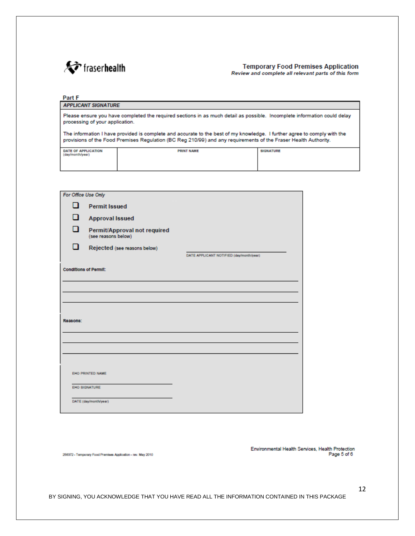

#### **Temporary Food Premises Application** Review and complete all relevant parts of this form

#### Part F **APPLICANT SIGNATURE** Please ensure you have completed the required sections in as much detail as possible. Incomplete information could delay processing of your application. The information I have provided is complete and accurate to the best of my knowledge. I further agree to comply with the provisions of the Food Premises Regulation (BC Reg 210/99) and any requirements of the Fraser Health Authority. **PRINT NAME SIGNATURE** DATE OF APPLICATION idi dh/vear)

| For Office Use Only          |                                                     |                                          |
|------------------------------|-----------------------------------------------------|------------------------------------------|
| п                            | <b>Permit Issued</b>                                |                                          |
| П                            | <b>Approval Issued</b>                              |                                          |
| n                            | Permit/Approval not required<br>(see reasons below) |                                          |
| ı ı                          | Rejected (see reasons below)                        |                                          |
|                              |                                                     | DATE APPLICANT NOTIFIED (day/month/year) |
| <b>Conditions of Permit:</b> |                                                     |                                          |
|                              |                                                     |                                          |
|                              |                                                     |                                          |
|                              |                                                     |                                          |
|                              |                                                     |                                          |
| Reasons:                     |                                                     |                                          |
|                              |                                                     |                                          |
|                              |                                                     |                                          |
|                              |                                                     |                                          |
|                              |                                                     |                                          |
| EHO PRINTED NAME             |                                                     |                                          |
|                              |                                                     |                                          |
| EHO SIGNATURE                |                                                     |                                          |
| DATE (day/month/year)        |                                                     |                                          |

256372 - Temporary Food Premises Application - rev. May 2010

Environmental Health Services, Health Protection Page 5 of 6